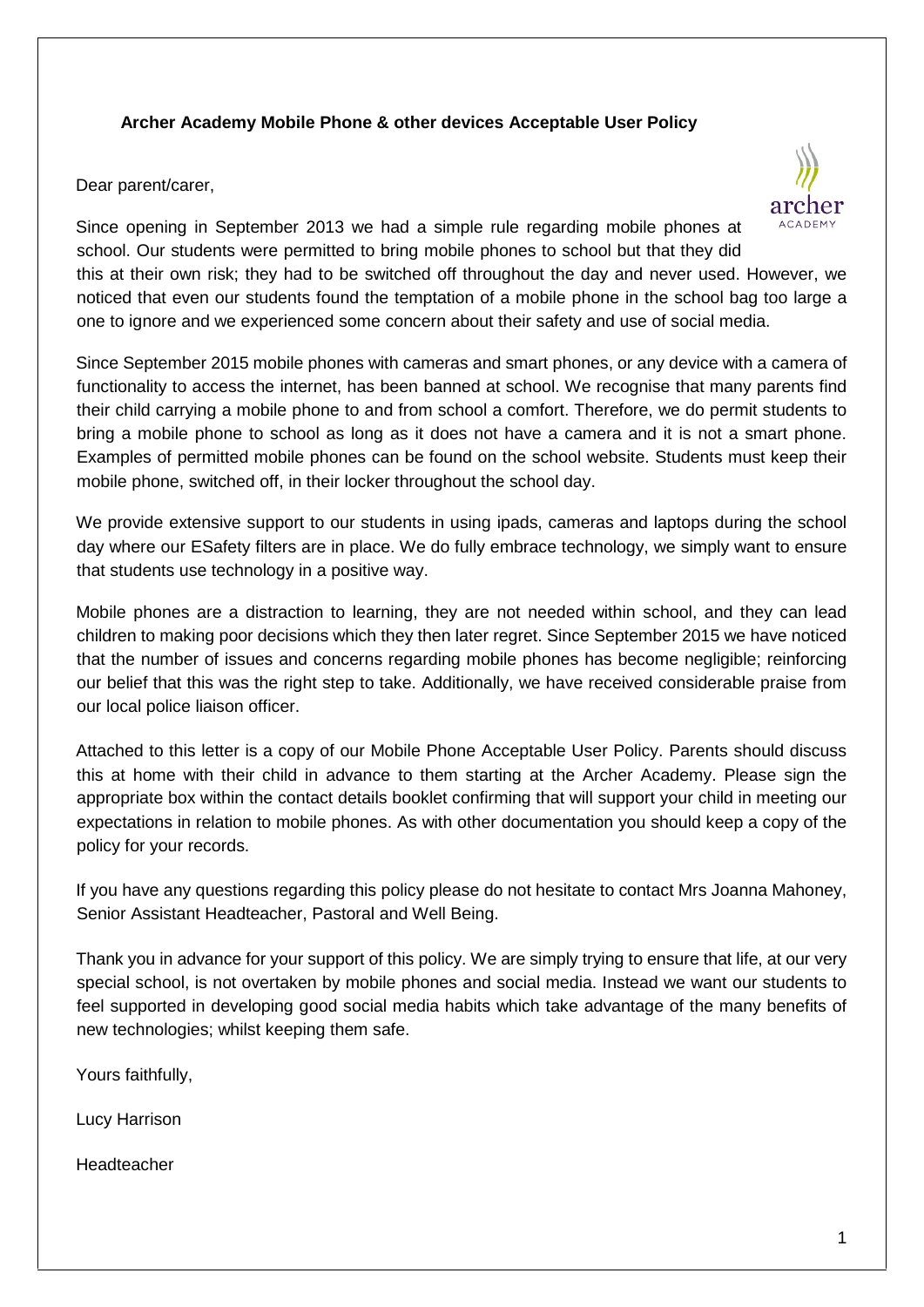# **Archer Academy Mobile Phone & other devices Acceptable User Policy**

Dear parent/carer,



Since opening in September 2013 we had a simple rule regarding mobile phones at school. Our students were permitted to bring mobile phones to school but that they did this at their own risk; they had to be switched off throughout the day and never used. However, we noticed that even our students found the temptation of a mobile phone in the school bag too large a one to ignore and we experienced some concern about their safety and use of social media.

Since September 2015 mobile phones with cameras and smart phones, or any device with a camera of functionality to access the internet, has been banned at school. We recognise that many parents find their child carrying a mobile phone to and from school a comfort. Therefore, we do permit students to bring a mobile phone to school as long as it does not have a camera and it is not a smart phone. Examples of permitted mobile phones can be found on the school website. Students must keep their mobile phone, switched off, in their locker throughout the school day.

We provide extensive support to our students in using ipads, cameras and laptops during the school day where our ESafety filters are in place. We do fully embrace technology, we simply want to ensure that students use technology in a positive way.

Mobile phones are a distraction to learning, they are not needed within school, and they can lead children to making poor decisions which they then later regret. Since September 2015 we have noticed that the number of issues and concerns regarding mobile phones has become negligible; reinforcing our belief that this was the right step to take. Additionally, we have received considerable praise from our local police liaison officer.

Attached to this letter is a copy of our Mobile Phone Acceptable User Policy. Parents should discuss this at home with their child in advance to them starting at the Archer Academy. Please sign the appropriate box within the contact details booklet confirming that will support your child in meeting our expectations in relation to mobile phones. As with other documentation you should keep a copy of the policy for your records.

If you have any questions regarding this policy please do not hesitate to contact Mrs Joanna Mahoney, Senior Assistant Headteacher, Pastoral and Well Being.

Thank you in advance for your support of this policy. We are simply trying to ensure that life, at our very special school, is not overtaken by mobile phones and social media. Instead we want our students to feel supported in developing good social media habits which take advantage of the many benefits of new technologies; whilst keeping them safe.

Yours faithfully,

Lucy Harrison

Headteacher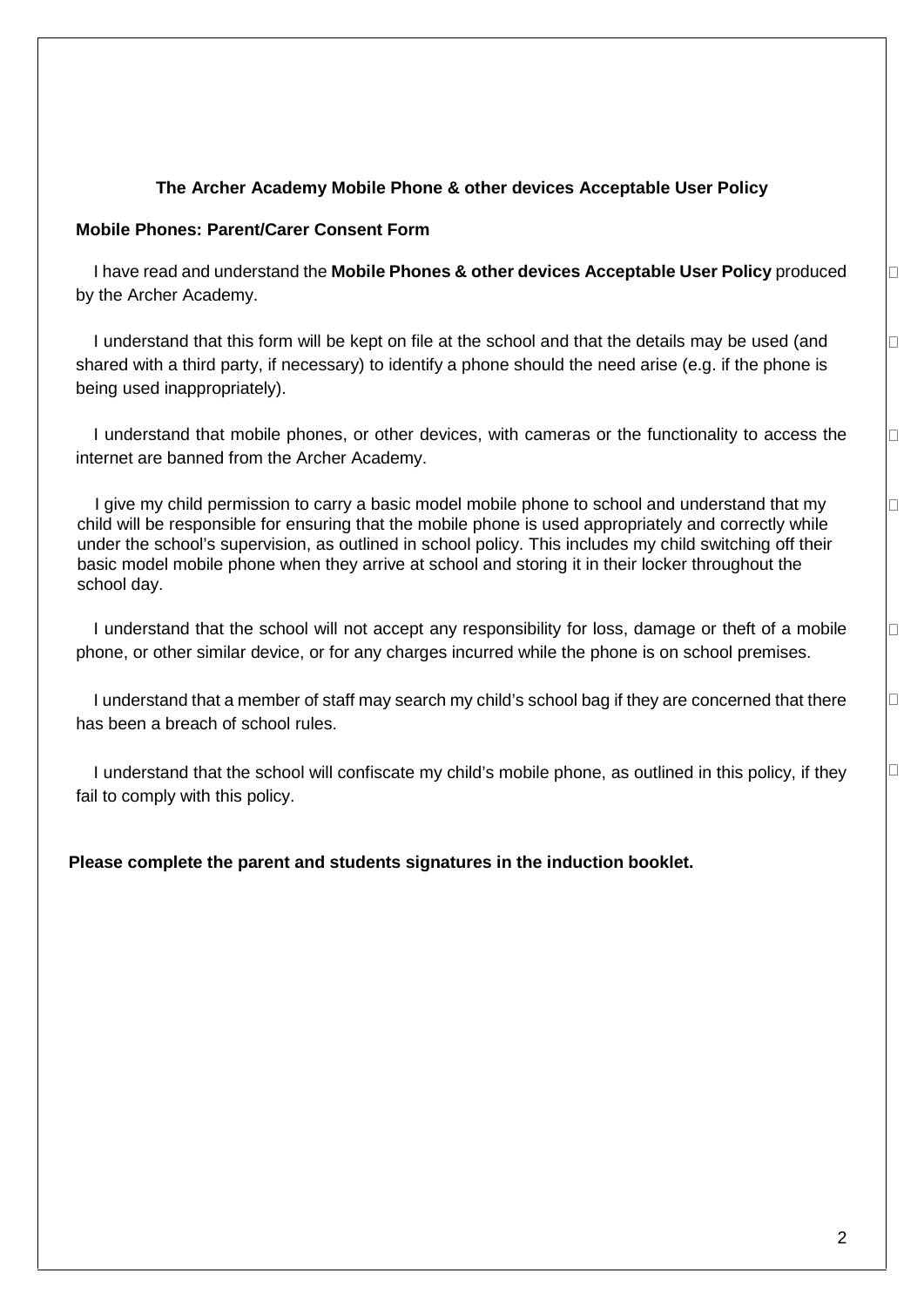#### **The Archer Academy Mobile Phone & other devices Acceptable User Policy**

#### **Mobile Phones: Parent/Carer Consent Form**

I have read and understand the **Mobile Phones & other devices Acceptable User Policy** produced by the Archer Academy.

I understand that this form will be kept on file at the school and that the details may be used (and shared with a third party, if necessary) to identify a phone should the need arise (e.g. if the phone is being used inappropriately).

I understand that mobile phones, or other devices, with cameras or the functionality to access the internet are banned from the Archer Academy.

I give my child permission to carry a basic model mobile phone to school and understand that my child will be responsible for ensuring that the mobile phone is used appropriately and correctly while under the school's supervision, as outlined in school policy. This includes my child switching off their basic model mobile phone when they arrive at school and storing it in their locker throughout the school day.

I understand that the school will not accept any responsibility for loss, damage or theft of a mobile phone, or other similar device, or for any charges incurred while the phone is on school premises.

I understand that a member of staff may search my child's school bag if they are concerned that there has been a breach of school rules.

I understand that the school will confiscate my child's mobile phone, as outlined in this policy, if they fail to comply with this policy.

**Please complete the parent and students signatures in the induction booklet.** 

 $\Box$ 

П

 $\Box$ 

 $\Box$ 

 $\Box$ 

□

 $\Box$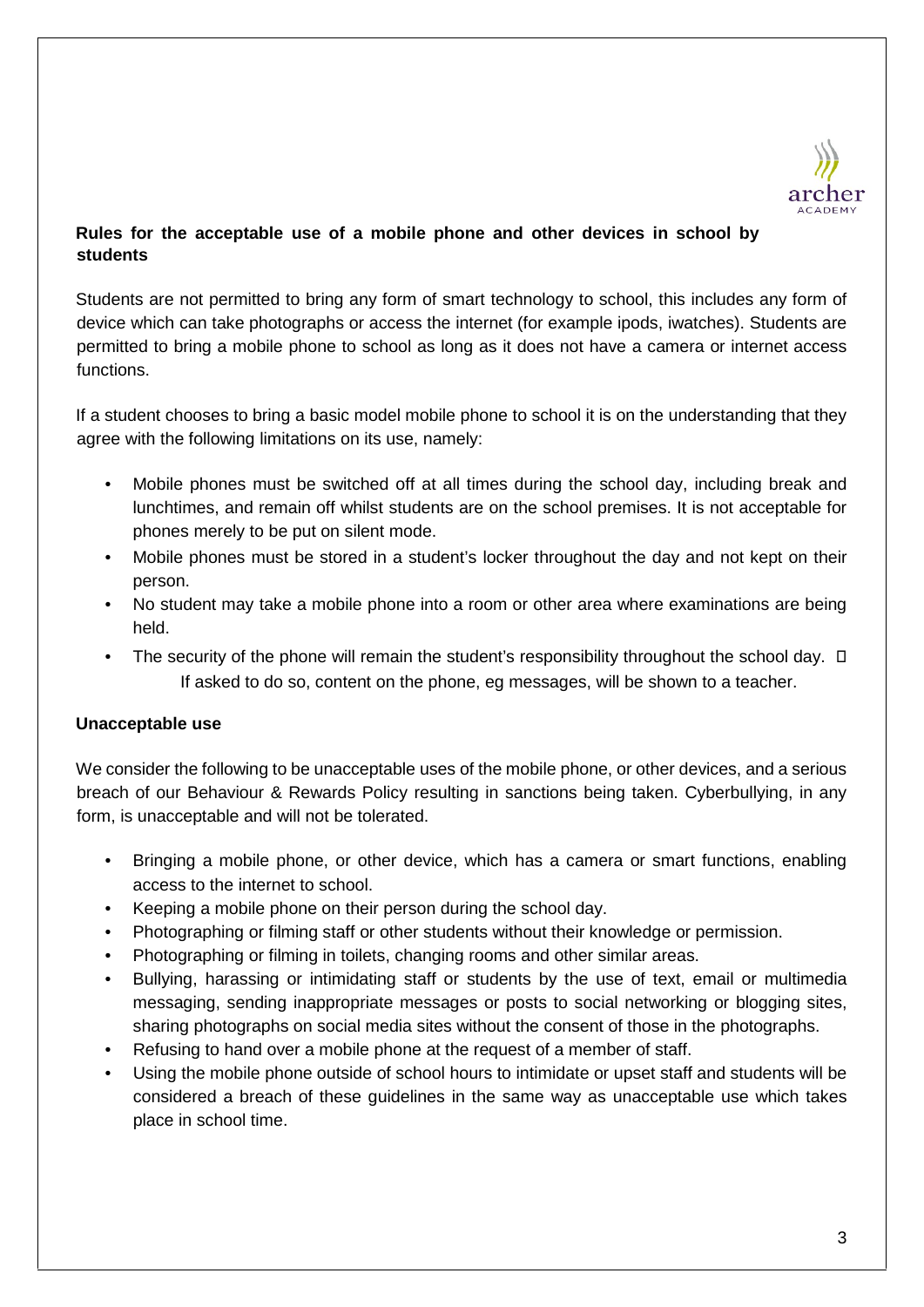

# **Rules for the acceptable use of a mobile phone and other devices in school by students**

Students are not permitted to bring any form of smart technology to school, this includes any form of device which can take photographs or access the internet (for example ipods, iwatches). Students are permitted to bring a mobile phone to school as long as it does not have a camera or internet access functions.

If a student chooses to bring a basic model mobile phone to school it is on the understanding that they agree with the following limitations on its use, namely:

- Mobile phones must be switched off at all times during the school day, including break and lunchtimes, and remain off whilst students are on the school premises. It is not acceptable for phones merely to be put on silent mode.
- Mobile phones must be stored in a student's locker throughout the day and not kept on their person.
- No student may take a mobile phone into a room or other area where examinations are being held.
- The security of the phone will remain the student's responsibility throughout the school day.  $\square$ If asked to do so, content on the phone, eg messages, will be shown to a teacher.

## **Unacceptable use**

We consider the following to be unacceptable uses of the mobile phone, or other devices, and a serious breach of our Behaviour & Rewards Policy resulting in sanctions being taken. Cyberbullying, in any form, is unacceptable and will not be tolerated.

- Bringing a mobile phone, or other device, which has a camera or smart functions, enabling access to the internet to school.
- Keeping a mobile phone on their person during the school day.
- Photographing or filming staff or other students without their knowledge or permission.
- Photographing or filming in toilets, changing rooms and other similar areas.
- Bullying, harassing or intimidating staff or students by the use of text, email or multimedia messaging, sending inappropriate messages or posts to social networking or blogging sites, sharing photographs on social media sites without the consent of those in the photographs.
- Refusing to hand over a mobile phone at the request of a member of staff.
- Using the mobile phone outside of school hours to intimidate or upset staff and students will be considered a breach of these guidelines in the same way as unacceptable use which takes place in school time.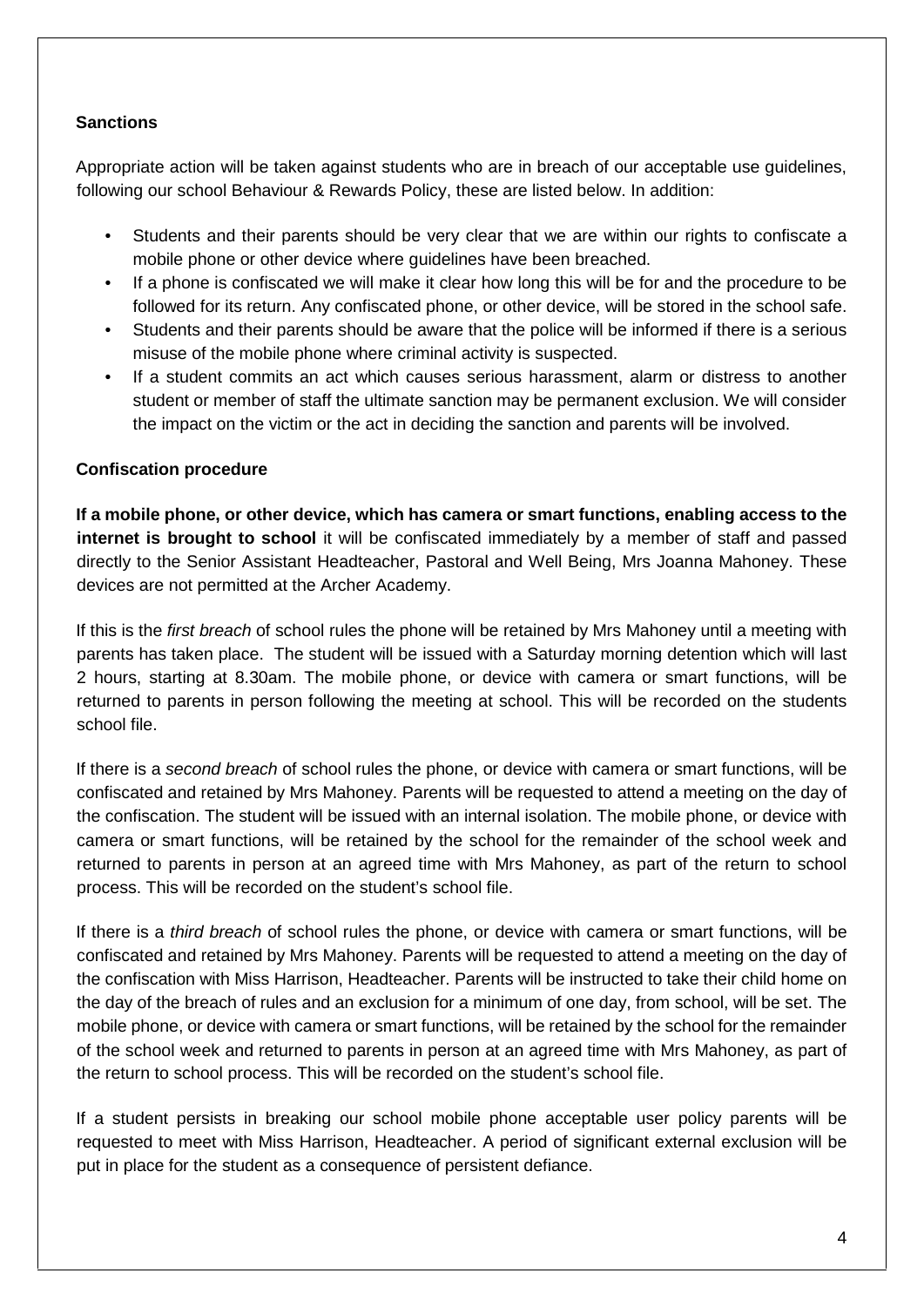# **Sanctions**

Appropriate action will be taken against students who are in breach of our acceptable use guidelines, following our school Behaviour & Rewards Policy, these are listed below. In addition:

- Students and their parents should be very clear that we are within our rights to confiscate a mobile phone or other device where guidelines have been breached.
- If a phone is confiscated we will make it clear how long this will be for and the procedure to be followed for its return. Any confiscated phone, or other device, will be stored in the school safe.
- Students and their parents should be aware that the police will be informed if there is a serious misuse of the mobile phone where criminal activity is suspected.
- If a student commits an act which causes serious harassment, alarm or distress to another student or member of staff the ultimate sanction may be permanent exclusion. We will consider the impact on the victim or the act in deciding the sanction and parents will be involved.

## **Confiscation procedure**

**If a mobile phone, or other device, which has camera or smart functions, enabling access to the internet is brought to school** it will be confiscated immediately by a member of staff and passed directly to the Senior Assistant Headteacher, Pastoral and Well Being, Mrs Joanna Mahoney. These devices are not permitted at the Archer Academy.

If this is the *first breach* of school rules the phone will be retained by Mrs Mahoney until a meeting with parents has taken place. The student will be issued with a Saturday morning detention which will last 2 hours, starting at 8.30am. The mobile phone, or device with camera or smart functions, will be returned to parents in person following the meeting at school. This will be recorded on the students school file.

If there is a *second breach* of school rules the phone, or device with camera or smart functions, will be confiscated and retained by Mrs Mahoney. Parents will be requested to attend a meeting on the day of the confiscation. The student will be issued with an internal isolation. The mobile phone, or device with camera or smart functions, will be retained by the school for the remainder of the school week and returned to parents in person at an agreed time with Mrs Mahoney, as part of the return to school process. This will be recorded on the student's school file.

If there is a *third breach* of school rules the phone, or device with camera or smart functions, will be confiscated and retained by Mrs Mahoney. Parents will be requested to attend a meeting on the day of the confiscation with Miss Harrison, Headteacher. Parents will be instructed to take their child home on the day of the breach of rules and an exclusion for a minimum of one day, from school, will be set. The mobile phone, or device with camera or smart functions, will be retained by the school for the remainder of the school week and returned to parents in person at an agreed time with Mrs Mahoney, as part of the return to school process. This will be recorded on the student's school file.

If a student persists in breaking our school mobile phone acceptable user policy parents will be requested to meet with Miss Harrison, Headteacher. A period of significant external exclusion will be put in place for the student as a consequence of persistent defiance.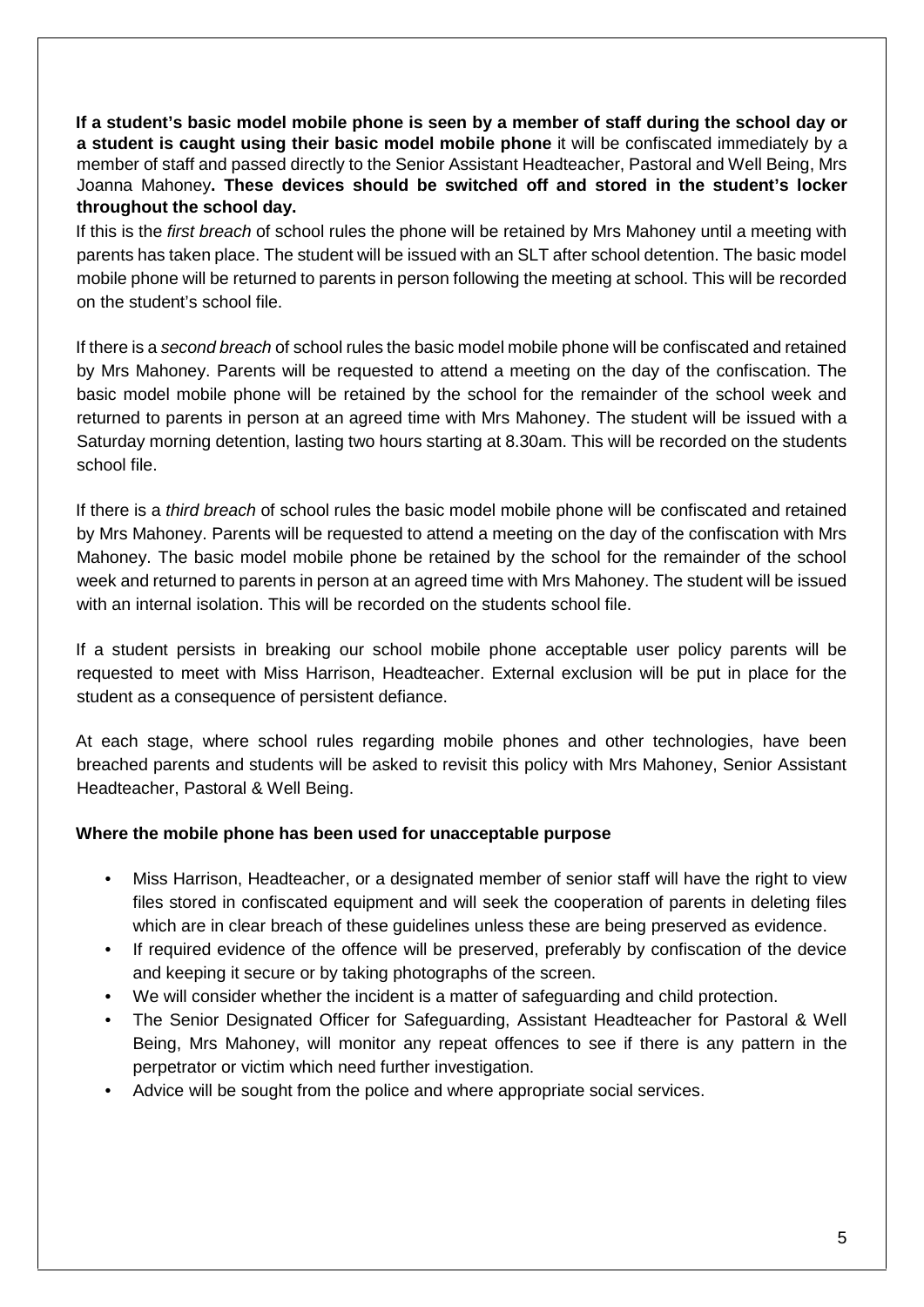**If a student's basic model mobile phone is seen by a member of staff during the school day or a student is caught using their basic model mobile phone** it will be confiscated immediately by a member of staff and passed directly to the Senior Assistant Headteacher, Pastoral and Well Being, Mrs Joanna Mahoney**. These devices should be switched off and stored in the student's locker throughout the school day.** 

If this is the *first breach* of school rules the phone will be retained by Mrs Mahoney until a meeting with parents has taken place. The student will be issued with an SLT after school detention. The basic model mobile phone will be returned to parents in person following the meeting at school. This will be recorded on the student's school file.

If there is a *second breach* of school rules the basic model mobile phone will be confiscated and retained by Mrs Mahoney. Parents will be requested to attend a meeting on the day of the confiscation. The basic model mobile phone will be retained by the school for the remainder of the school week and returned to parents in person at an agreed time with Mrs Mahoney. The student will be issued with a Saturday morning detention, lasting two hours starting at 8.30am. This will be recorded on the students school file.

If there is a *third breach* of school rules the basic model mobile phone will be confiscated and retained by Mrs Mahoney. Parents will be requested to attend a meeting on the day of the confiscation with Mrs Mahoney. The basic model mobile phone be retained by the school for the remainder of the school week and returned to parents in person at an agreed time with Mrs Mahoney. The student will be issued with an internal isolation. This will be recorded on the students school file.

If a student persists in breaking our school mobile phone acceptable user policy parents will be requested to meet with Miss Harrison, Headteacher. External exclusion will be put in place for the student as a consequence of persistent defiance.

At each stage, where school rules regarding mobile phones and other technologies, have been breached parents and students will be asked to revisit this policy with Mrs Mahoney, Senior Assistant Headteacher, Pastoral & Well Being.

## **Where the mobile phone has been used for unacceptable purpose**

- Miss Harrison, Headteacher, or a designated member of senior staff will have the right to view files stored in confiscated equipment and will seek the cooperation of parents in deleting files which are in clear breach of these guidelines unless these are being preserved as evidence.
- If required evidence of the offence will be preserved, preferably by confiscation of the device and keeping it secure or by taking photographs of the screen.
- We will consider whether the incident is a matter of safeguarding and child protection.
- The Senior Designated Officer for Safeguarding, Assistant Headteacher for Pastoral & Well Being, Mrs Mahoney, will monitor any repeat offences to see if there is any pattern in the perpetrator or victim which need further investigation.
- Advice will be sought from the police and where appropriate social services.